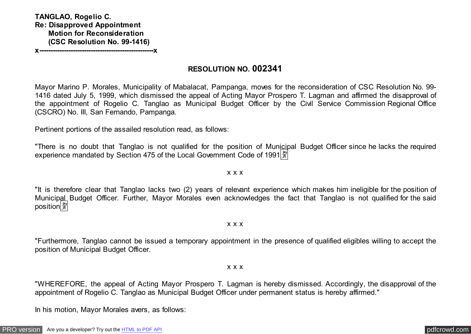**RESOLUTION NO. 002341**

Mayor Marino P. Morales, Municipality of Mabalacat, Pampanga, moves for the reconsideration of CSC Resolution No. 99- 1416 dated July 5, 1999, which dismissed the appeal of Acting Mayor Prospero T. Lagman and affirmed the disapproval of the appointment of Rogelio C. Tanglao as Municipal Budget Officer by the Civil Service Commission Regional Office (CSCRO) No. III, San Fernando, Pampanga.

Pertinent portions of the assailed resolution read, as follows:

"There is no doubt that Tanglao is not qualified for the position of Municipal Budget Officer since he lacks the required experience mandated by Section 475 of the Local Government Code of 1991 $\frac{29}{3}$ 

x x x

"It is therefore clear that Tanglao lacks two (2) years of relevant experience which makes him ineligible for the position of Municipal Budget Officer. Further, Mayor Morales even acknowledges the fact that Tanglao is not qualified for the said position

x x x

"Furthermore, Tanglao cannot be issued a temporary appointment in the presence of qualified eligibles willing to accept the position of Municipal Budget Officer.

x x x

"WHEREFORE, the appeal of Acting Mayor Prospero T. Lagman is hereby dismissed. Accordingly, the disapproval of the appointment of Rogelio C. Tanglao as Municipal Budget Officer under permanent status is hereby affirmed."

In his motion, Mayor Morales avers, as follows: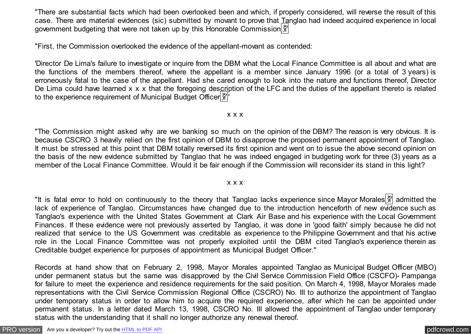"There are substantial facts which had been overlooked been and which, if properly considered, will reverse the result of this case. There are material evidences (sic) submitted by movant to prove that Tanglao had indeed acquired experience in local government budgeting that were not taken up by this Honorable Commission  $\frac{20}{3}$ 

"First, the Commission overlooked the evidence of the appellant-movant as contended:

'Director De Lima's failure to investigate or inquire from the DBM what the Local Finance Committee is all about and what are the functions of the members thereof, where the appellant is a member since January 1996 (or a total of 3 years) is erroneously fatal to the case of the appellant. Had she cared enough to look into the nature and functions thereof, Director De Lima could have learned x x x that the foregoing description of the LFC and the duties of the appellant thereto is related to the experience requirement of Municipal Budget Officer  $\frac{20}{3}$ 

### x x x

"The Commission might asked why are we banking so much on the opinion of the DBM? The reason is very obvious. It is because CSCRO 3 heavily relied on the first opinion of DBM to disapprove the proposed permanent appointment of Tanglao. It must be stressed at this point that DBM totally reversed its first opinion and went on to issue the above second opinion on the basis of the new evidence submitted by Tanglao that he was indeed engaged in budgeting work for three (3) years as a member of the Local Finance Committee. Would it be fair enough if the Commission will reconsider its stand in this light?

### x x x

"It is fatal error to hold on continuously to the theory that Tanglao lacks experience since Mayor Morales  $\frac{29}{21}$  admitted the lack of experience of Tanglao. Circumstances have changed due to the introduction henceforth of new evidence such as Tanglao's experience with the United States Government at Clark Air Base and his experience with the Local Government Finances. If these evidence were not previously asserted by Tanglao, it was done in 'good faith' simply because he did not realized that service to the US Government was creditable as experience to the Philippine Government and that his active role in the Local Finance Committee was not properly exploited until the DBM cited Tanglao's experience therein as Creditable budget experience for purposes of appointment as Municipal Budget Officer."

Records at hand show that on February 2, 1998, Mayor Morales appointed Tanglao as Municipal Budget Officer (MBO) under permanent status but the same was disapproved by the Civil Service Commission Field Office (CSCFO)- Pampanga for failure to meet the experience and residence requirements for the said position. On March 4, 1998, Mayor Morales made representations with the Civil Service Commission Regional Office (CSCRO) No. III to authorize the appointment of Tanglao under temporary status in order to allow him to acquire the required experience, after which he can be appointed under permanent status. In a letter dated March 13, 1998, CSCRO No. III allowed the appointment of Tanglao under temporary status with the understanding that it shall no longer authorize any renewal thereof.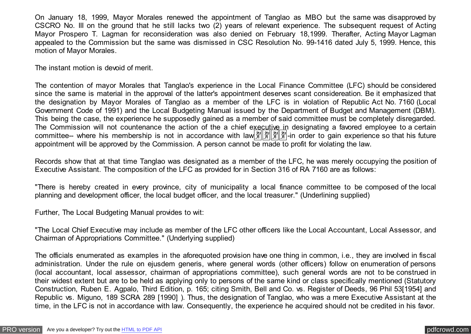On January 18, 1999, Mayor Morales renewed the appointment of Tanglao as MBO but the same was disapproved by CSCRO No. III on the ground that he still lacks two (2) years of relevant experience. The subsequent request of Acting Mayor Prospero T. Lagman for reconsideration was also denied on February 18,1999. Therafter, Acting Mayor Lagman appealed to the Commission but the same was dismissed in CSC Resolution No. 99-1416 dated July 5, 1999. Hence, this motion of Mayor Morales.

The instant motion is devoid of merit.

The contention of mayor Morales that Tanglao's experience in the Local Finance Committee (LFC) should be considered since the same is material in the approval of the latter's appointment deserves scant considereation. Be it emphasized that the designation by Mayor Morales of Tanglao as a member of the LFC is in violation of Republic Act No. 7160 (Local Government Code of 1991) and the Local Budgeting Manual issued by the Department of Budget and Management (DBM). This being the case, the experience he supposedly gained as a member of said committee must be completely disregarded. The Commission will not countenance the action of the a chief executive in designating a favored employee to a certain committee-- where his membership is not in accordance with law  $\frac{2}{3}$ ,  $\frac{2}{3}$ ,  $\frac{2}{3}$ , in order to gain experience so that his future appointment will be approved by the Commission. A person cannot be made to profit for violating the law.

Records show that at that time Tanglao was designated as a member of the LFC, he was merely occupying the position of Executive Assistant. The composition of the LFC as provided for in Section 316 of RA 7160 are as follows:

"There is hereby created in every province, city of municipality a local finance committee to be composed of the local planning and development officer, the local budget officer, and the local treasurer." (Underlining supplied)

Further, The Local Budgeting Manual provides to wit:

"The Local Chief Executive may include as member of the LFC other officers like the Local Accountant, Local Assessor, and Chairman of Appropriations Committee." (Underlying supplied)

The officials enumerated as examples in the aforequoted provision have one thing in common, i.e., they are involved in fiscal administration. Under the rule on ejusdem generis, where general words (other officers) follow on enumeration of persons (local accountant, local assessor, chairman of appropriations committee), such general words are not to be construed in their widest extent but are to be held as applying only to persons of the same kind or class specifically mentioned (Statutory Construction, Ruben E. Agpalo, Third Edition, p. 165; citing Smith, Bell and Co. vs. Register of Deeds, 96 Phil 53[1954] and Republic vs. Miguno, 189 SCRA 289 [1990] ). Thus, the designation of Tanglao, who was a mere Executive Assistant at the time, in the LFC is not in accordance with law. Consequently, the experience he acquired should not be credited in his favor.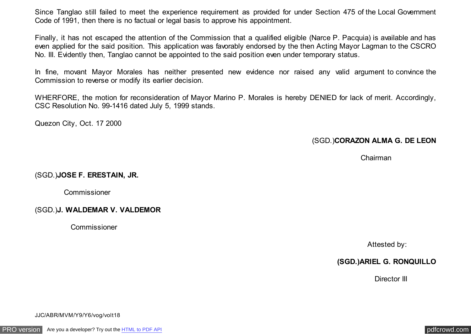Since Tanglao still failed to meet the experience requirement as provided for under Section 475 of the Local Government Code of 1991, then there is no factual or legal basis to approve his appointment.

Finally, it has not escaped the attention of the Commission that a qualified eligible (Narce P. Pacquia) is available and has even applied for the said position. This application was favorably endorsed by the then Acting Mayor Lagman to the CSCRO No. III. Evidently then, Tanglao cannot be appointed to the said position even under temporary status.

In fine, movant Mayor Morales has neither presented new evidence nor raised any valid argument to convince the Commission to reverse or modify its earlier decision.

WHERFORE, the motion for reconsideration of Mayor Marino P. Morales is hereby DENIED for lack of merit. Accordingly, CSC Resolution No. 99-1416 dated July 5, 1999 stands.

Quezon City, Oct. 17 2000

# (SGD.)**CORAZON ALMA G. DE LEON**

Chairman

## (SGD.)**JOSE F. ERESTAIN, JR.**

Commissioner

### (SGD.)**J. WALDEMAR V. VALDEMOR**

Commissioner

Attested by:

## **(SGD.)ARIEL G. RONQUILLO**

Director III

JJC/ABR/MVM/Y9/Y6/vog/volt18